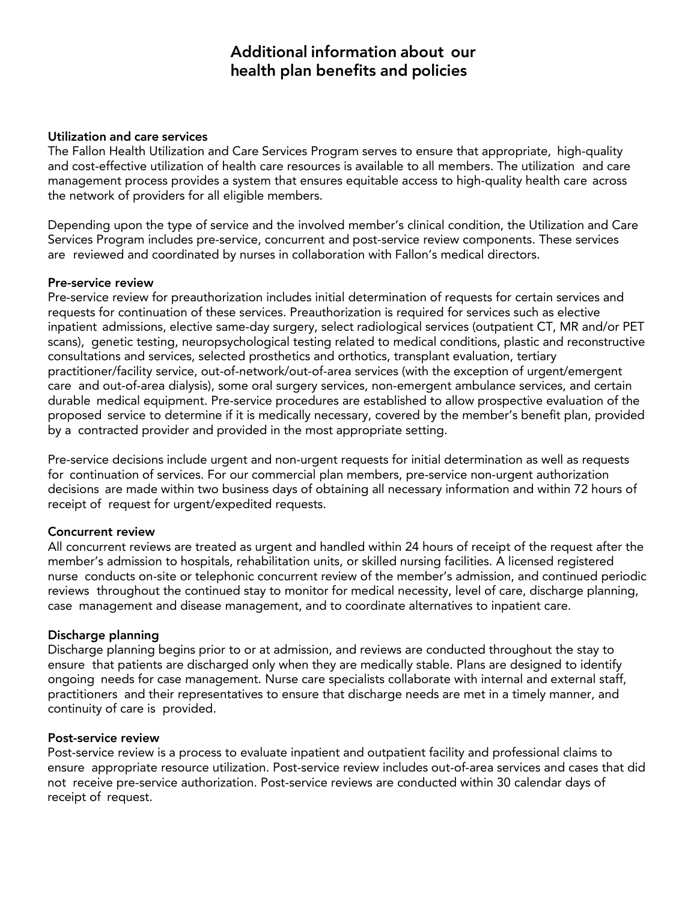# Additional information about our health plan benefits and policies

#### Utilization and care services

The Fallon Health Utilization and Care Services Program serves to ensure that appropriate, high-quality and cost-effective utilization of health care resources is available to all members. The utilization and care management process provides a system that ensures equitable access to high-quality health care across the network of providers for all eligible members.

Depending upon the type of service and the involved member's clinical condition, the Utilization and Care Services Program includes pre-service, concurrent and post-service review components. These services are reviewed and coordinated by nurses in collaboration with Fallon's medical directors.

#### Pre-service review

Pre-service review for preauthorization includes initial determination of requests for certain services and requests for continuation of these services. Preauthorization is required for services such as elective inpatient admissions, elective same-day surgery, select radiological services (outpatient CT, MR and/or PET scans), genetic testing, neuropsychological testing related to medical conditions, plastic and reconstructive consultations and services, selected prosthetics and orthotics, transplant evaluation, tertiary practitioner/facility service, out-of-network/out-of-area services (with the exception of urgent/emergent care and out-of-area dialysis), some oral surgery services, non-emergent ambulance services, and certain durable medical equipment. Pre-service procedures are established to allow prospective evaluation of the proposed service to determine if it is medically necessary, covered by the member's benefit plan, provided by a contracted provider and provided in the most appropriate setting.

Pre-service decisions include urgent and non-urgent requests for initial determination as well as requests for continuation of services. For our commercial plan members, pre-service non-urgent authorization decisions are made within two business days of obtaining all necessary information and within 72 hours of receipt of request for urgent/expedited requests.

# Concurrent review

All concurrent reviews are treated as urgent and handled within 24 hours of receipt of the request after the member's admission to hospitals, rehabilitation units, or skilled nursing facilities. A licensed registered nurse conducts on-site or telephonic concurrent review of the member's admission, and continued periodic reviews throughout the continued stay to monitor for medical necessity, level of care, discharge planning, case management and disease management, and to coordinate alternatives to inpatient care.

# Discharge planning

Discharge planning begins prior to or at admission, and reviews are conducted throughout the stay to ensure that patients are discharged only when they are medically stable. Plans are designed to identify ongoing needs for case management. Nurse care specialists collaborate with internal and external staff, practitioners and their representatives to ensure that discharge needs are met in a timely manner, and continuity of care is provided.

#### Post-service review

Post-service review is a process to evaluate inpatient and outpatient facility and professional claims to ensure appropriate resource utilization. Post-service review includes out-of-area services and cases that did not receive pre-service authorization. Post-service reviews are conducted within 30 calendar days of receipt of request.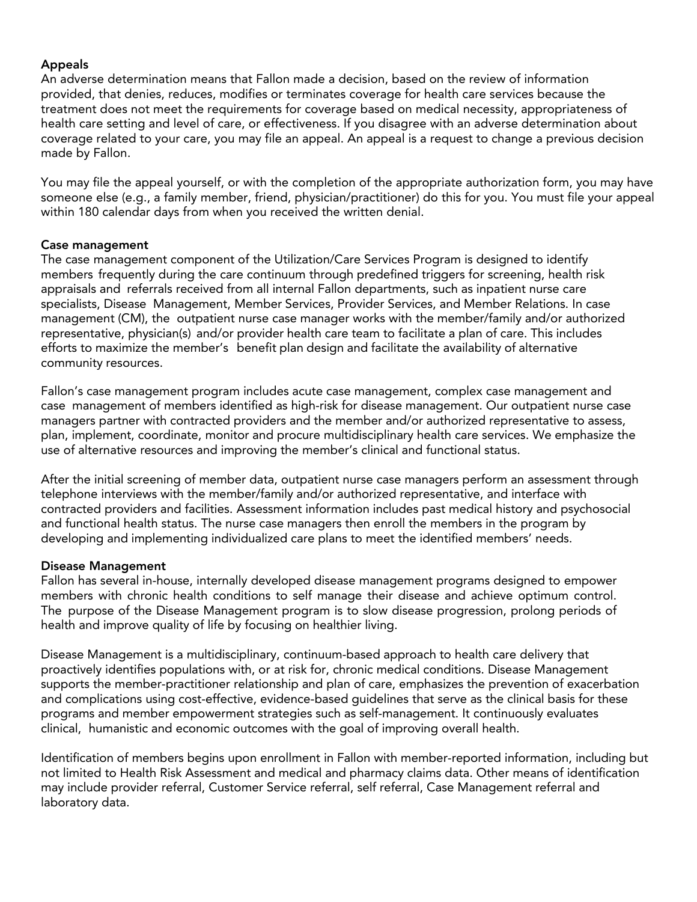#### Appeals

An adverse determination means that Fallon made a decision, based on the review of information provided, that denies, reduces, modifies or terminates coverage for health care services because the treatment does not meet the requirements for coverage based on medical necessity, appropriateness of health care setting and level of care, or effectiveness. If you disagree with an adverse determination about coverage related to your care, you may file an appeal. An appeal is a request to change a previous decision made by Fallon.

You may file the appeal yourself, or with the completion of the appropriate authorization form, you may have someone else (e.g., a family member, friend, physician/practitioner) do this for you. You must file your appeal within 180 calendar days from when you received the written denial.

#### Case management

The case management component of the Utilization/Care Services Program is designed to identify members frequently during the care continuum through predefined triggers for screening, health risk appraisals and referrals received from all internal Fallon departments, such as inpatient nurse care specialists, Disease Management, Member Services, Provider Services, and Member Relations. In case management (CM), the outpatient nurse case manager works with the member/family and/or authorized representative, physician(s) and/or provider health care team to facilitate a plan of care. This includes efforts to maximize the member's benefit plan design and facilitate the availability of alternative community resources.

Fallon's case management program includes acute case management, complex case management and case management of members identified as high-risk for disease management. Our outpatient nurse case managers partner with contracted providers and the member and/or authorized representative to assess, plan, implement, coordinate, monitor and procure multidisciplinary health care services. We emphasize the use of alternative resources and improving the member's clinical and functional status.

After the initial screening of member data, outpatient nurse case managers perform an assessment through telephone interviews with the member/family and/or authorized representative, and interface with contracted providers and facilities. Assessment information includes past medical history and psychosocial and functional health status. The nurse case managers then enroll the members in the program by developing and implementing individualized care plans to meet the identified members' needs.

#### Disease Management

Fallon has several in-house, internally developed disease management programs designed to empower members with chronic health conditions to self manage their disease and achieve optimum control. The purpose of the Disease Management program is to slow disease progression, prolong periods of health and improve quality of life by focusing on healthier living.

Disease Management is a multidisciplinary, continuum-based approach to health care delivery that proactively identifies populations with, or at risk for, chronic medical conditions. Disease Management supports the member-practitioner relationship and plan of care, emphasizes the prevention of exacerbation and complications using cost-effective, evidence-based guidelines that serve as the clinical basis for these programs and member empowerment strategies such as self-management. It continuously evaluates clinical, humanistic and economic outcomes with the goal of improving overall health.

Identification of members begins upon enrollment in Fallon with member-reported information, including but not limited to Health Risk Assessment and medical and pharmacy claims data. Other means of identification may include provider referral, Customer Service referral, self referral, Case Management referral and laboratory data.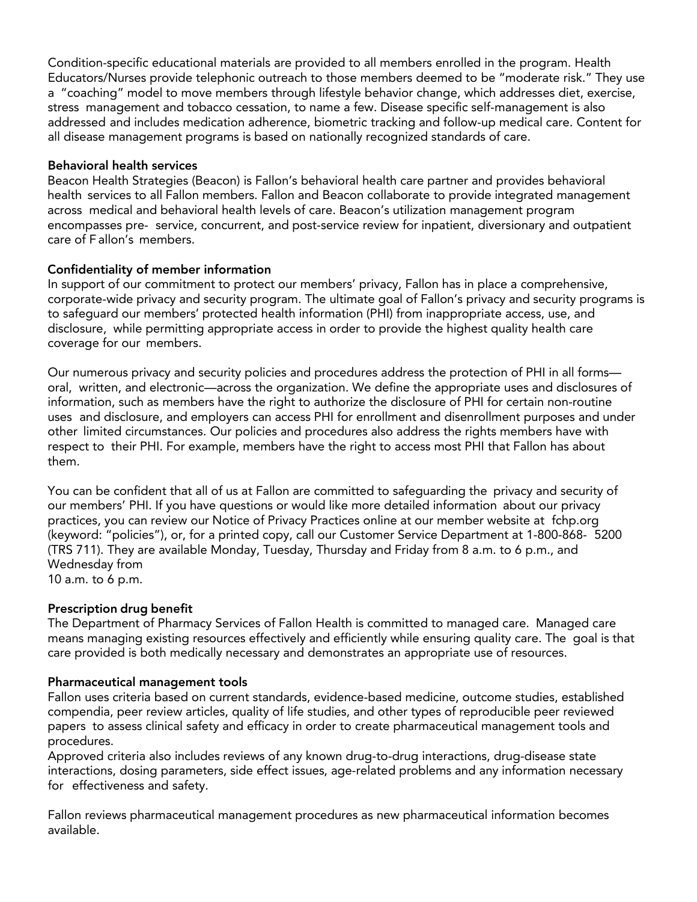Condition-specific educational materials are provided to all members enrolled in the program. Health Educators/Nurses provide telephonic outreach to those members deemed to be "moderate risk." They use a "coaching" model to move members through lifestyle behavior change, which addresses diet, exercise, stress management and tobacco cessation, to name a few. Disease specific self-management is also addressed and includes medication adherence, biometric tracking and follow-up medical care. Content for all disease management programs is based on nationally recognized standards of care.

# Behavioral health services

Beacon Health Strategies (Beacon) is Fallon's behavioral health care partner and provides behavioral health services to all Fallon members. Fallon and Beacon collaborate to provide integrated management across medical and behavioral health levels of care. Beacon's utilization management program encompasses pre- service, concurrent, and post-service review for inpatient, diversionary and outpatient care of F allon's members.

# Confidentiality of member information

In support of our commitment to protect our members' privacy, Fallon has in place a comprehensive, corporate-wide privacy and security program. The ultimate goal of Fallon's privacy and security programs is to safeguard our members' protected health information (PHI) from inappropriate access, use, and disclosure, while permitting appropriate access in order to provide the highest quality health care coverage for our members.

Our numerous privacy and security policies and procedures address the protection of PHI in all forms oral, written, and electronic—across the organization. We define the appropriate uses and disclosures of information, such as members have the right to authorize the disclosure of PHI for certain non-routine uses and disclosure, and employers can access PHI for enrollment and disenrollment purposes and under other limited circumstances. Our policies and procedures also address the rights members have with respect to their PHI. For example, members have the right to access most PHI that Fallon has about them.

You can be confident that all of us at Fallon are committed to safeguarding the privacy and security of our members' PHI. If you have questions or would like more detailed information about our privacy practices, you can review our Notice of Privacy Practices online at our member website at fchp.org (keyword: "policies"), or, for a printed copy, call our Customer Service Department at 1-800-868- 5200 (TRS 711). They are available Monday, Tuesday, Thursday and Friday from 8 a.m. to 6 p.m., and Wednesday from 10 a.m. to 6 p.m.

# Prescription drug benefit

The Department of Pharmacy Services of Fallon Health is committed to managed care. Managed care means managing existing resources effectively and efficiently while ensuring quality care. The goal is that care provided is both medically necessary and demonstrates an appropriate use of resources.

# Pharmaceutical management tools

Fallon uses criteria based on current standards, evidence-based medicine, outcome studies, established compendia, peer review articles, quality of life studies, and other types of reproducible peer reviewed papers to assess clinical safety and efficacy in order to create pharmaceutical management tools and procedures.

Approved criteria also includes reviews of any known drug-to-drug interactions, drug-disease state interactions, dosing parameters, side effect issues, age-related problems and any information necessary for effectiveness and safety.

Fallon reviews pharmaceutical management procedures as new pharmaceutical information becomes available.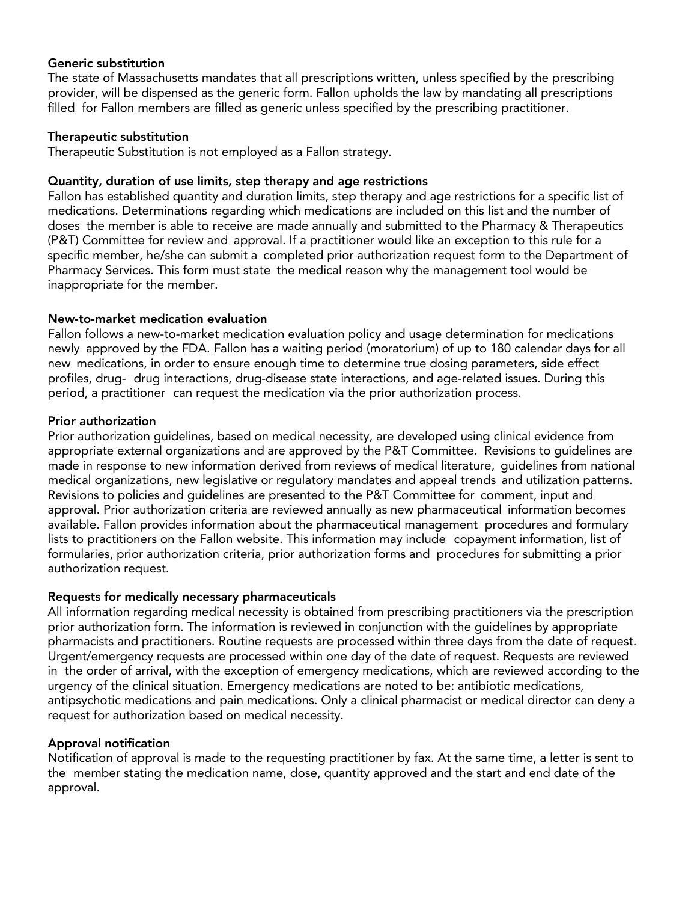# Generic substitution

The state of Massachusetts mandates that all prescriptions written, unless specified by the prescribing provider, will be dispensed as the generic form. Fallon upholds the law by mandating all prescriptions filled for Fallon members are filled as generic unless specified by the prescribing practitioner.

#### Therapeutic substitution

Therapeutic Substitution is not employed as a Fallon strategy.

#### Quantity, duration of use limits, step therapy and age restrictions

Fallon has established quantity and duration limits, step therapy and age restrictions for a specific list of medications. Determinations regarding which medications are included on this list and the number of doses the member is able to receive are made annually and submitted to the Pharmacy & Therapeutics (P&T) Committee for review and approval. If a practitioner would like an exception to this rule for a specific member, he/she can submit a completed prior authorization request form to the Department of Pharmacy Services. This form must state the medical reason why the management tool would be inappropriate for the member.

# New-to-market medication evaluation

Fallon follows a new-to-market medication evaluation policy and usage determination for medications newly approved by the FDA. Fallon has a waiting period (moratorium) of up to 180 calendar days for all new medications, in order to ensure enough time to determine true dosing parameters, side effect profiles, drug- drug interactions, drug-disease state interactions, and age-related issues. During this period, a practitioner can request the medication via the prior authorization process.

# Prior authorization

Prior authorization guidelines, based on medical necessity, are developed using clinical evidence from appropriate external organizations and are approved by the P&T Committee. Revisions to guidelines are made in response to new information derived from reviews of medical literature, guidelines from national medical organizations, new legislative or regulatory mandates and appeal trends and utilization patterns. Revisions to policies and guidelines are presented to the P&T Committee for comment, input and approval. Prior authorization criteria are reviewed annually as new pharmaceutical information becomes available. Fallon provides information about the pharmaceutical management procedures and formulary lists to practitioners on the Fallon website. This information may include copayment information, list of formularies, prior authorization criteria, prior authorization forms and procedures for submitting a prior authorization request.

# Requests for medically necessary pharmaceuticals

All information regarding medical necessity is obtained from prescribing practitioners via the prescription prior authorization form. The information is reviewed in conjunction with the guidelines by appropriate pharmacists and practitioners. Routine requests are processed within three days from the date of request. Urgent/emergency requests are processed within one day of the date of request. Requests are reviewed in the order of arrival, with the exception of emergency medications, which are reviewed according to the urgency of the clinical situation. Emergency medications are noted to be: antibiotic medications, antipsychotic medications and pain medications. Only a clinical pharmacist or medical director can deny a request for authorization based on medical necessity.

# Approval notification

Notification of approval is made to the requesting practitioner by fax. At the same time, a letter is sent to the member stating the medication name, dose, quantity approved and the start and end date of the approval.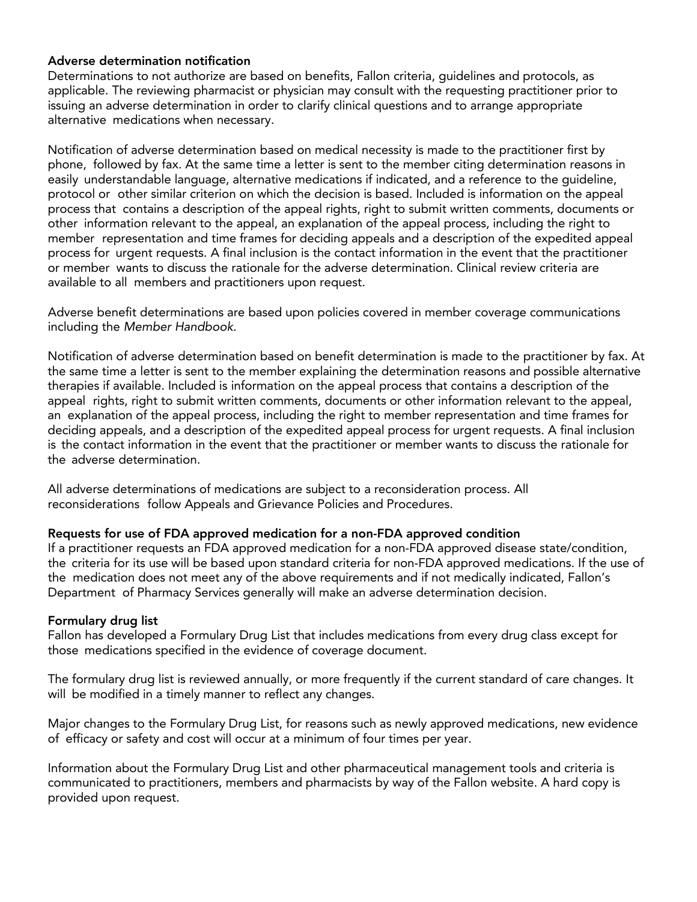#### Adverse determination notification

Determinations to not authorize are based on benefits, Fallon criteria, guidelines and protocols, as applicable. The reviewing pharmacist or physician may consult with the requesting practitioner prior to issuing an adverse determination in order to clarify clinical questions and to arrange appropriate alternative medications when necessary.

Notification of adverse determination based on medical necessity is made to the practitioner first by phone, followed by fax. At the same time a letter is sent to the member citing determination reasons in easily understandable language, alternative medications if indicated, and a reference to the guideline, protocol or other similar criterion on which the decision is based. Included is information on the appeal process that contains a description of the appeal rights, right to submit written comments, documents or other information relevant to the appeal, an explanation of the appeal process, including the right to member representation and time frames for deciding appeals and a description of the expedited appeal process for urgent requests. A final inclusion is the contact information in the event that the practitioner or member wants to discuss the rationale for the adverse determination. Clinical review criteria are available to all members and practitioners upon request.

Adverse benefit determinations are based upon policies covered in member coverage communications including the *Member Handbook.* 

Notification of adverse determination based on benefit determination is made to the practitioner by fax. At the same time a letter is sent to the member explaining the determination reasons and possible alternative therapies if available. Included is information on the appeal process that contains a description of the appeal rights, right to submit written comments, documents or other information relevant to the appeal, an explanation of the appeal process, including the right to member representation and time frames for deciding appeals, and a description of the expedited appeal process for urgent requests. A final inclusion is the contact information in the event that the practitioner or member wants to discuss the rationale for the adverse determination.

All adverse determinations of medications are subject to a reconsideration process. All reconsiderations follow Appeals and Grievance Policies and Procedures.

# Requests for use of FDA approved medication for a non-FDA approved condition

If a practitioner requests an FDA approved medication for a non-FDA approved disease state/condition, the criteria for its use will be based upon standard criteria for non-FDA approved medications. If the use of the medication does not meet any of the above requirements and if not medically indicated, Fallon's Department of Pharmacy Services generally will make an adverse determination decision.

#### Formulary drug list

Fallon has developed a Formulary Drug List that includes medications from every drug class except for those medications specified in the evidence of coverage document.

The formulary drug list is reviewed annually, or more frequently if the current standard of care changes. It will be modified in a timely manner to reflect any changes.

Major changes to the Formulary Drug List, for reasons such as newly approved medications, new evidence of efficacy or safety and cost will occur at a minimum of four times per year.

Information about the Formulary Drug List and other pharmaceutical management tools and criteria is communicated to practitioners, members and pharmacists by way of the Fallon website. A hard copy is provided upon request.